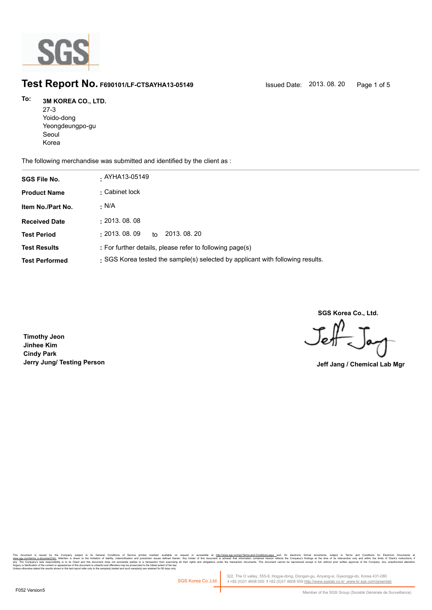

# **Test Report No. F690101/LF-CTSAYHA13-05149** Issued Date: 2013. 08. 20 Page 1 of 5

### **3M KOREA CO., LTD. To:**

27-3 Yoido-dong Yeongdeungpo-gu Seoul Korea

The following merchandise was submitted and identified by the client as :

| <b>SGS File No.</b>   | . AYHA13-05149                                                                 |
|-----------------------|--------------------------------------------------------------------------------|
| <b>Product Name</b>   | : Cabinet lock                                                                 |
| Item No./Part No.     | · N/A                                                                          |
| <b>Received Date</b>  | : 2013.08.08                                                                   |
| <b>Test Period</b>    | : 2013.08.09<br>2013, 08, 20<br>to                                             |
| <b>Test Results</b>   | : For further details, please refer to following page(s)                       |
| <b>Test Performed</b> | : SGS Korea tested the sample(s) selected by applicant with following results. |

**SGS Korea Co., Ltd.**

Jeff

**Timothy Jeon Jinhee Kim Cindy Park Jerry Jung/ Testing Person Jeff Jang / Chemical Lab Mgr**

, company sugna, as cerain consmons or servor pnme overa, available that the mate of accessive at <u>mitovawess compendent means associated that indiversases and</u> compensive compensive interest in the distinguish in Temperat forgery or falsification of the content or appearance of this document is unlawful and offenders may be prosecuted to the fullest extent of the law.<br>Unless otherwise stated the results shown in this test report refer only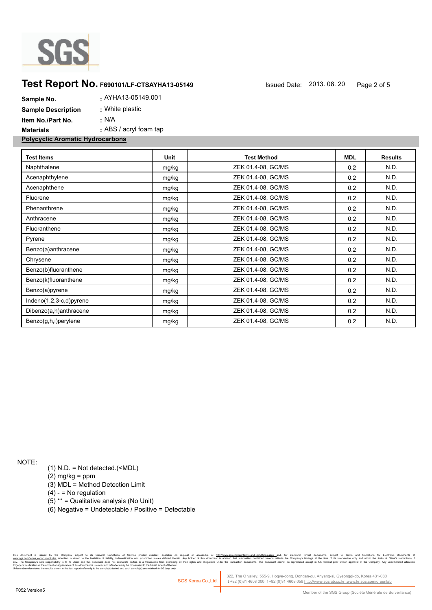

## **Test Report No.** F690101/LF-CTSAYHA13-05149 **ISSUED ISSUED Date:** 2013. 08. 20 Page 2 of 5

| <b>Polycyclic Aromatic Hydrocarbons</b> |                        |
|-----------------------------------------|------------------------|
| <b>Materials</b>                        | : ABS / acryl foam tap |
| Item No./Part No.                       | : N/A                  |
| <b>Sample Description</b>               | : White plastic        |
| Sample No.                              | . AYHA13-05149.001     |

| <b>Test Items</b>       | Unit  | <b>Test Method</b> | <b>MDL</b> | <b>Results</b> |
|-------------------------|-------|--------------------|------------|----------------|
| Naphthalene             | mg/kg | ZEK 01.4-08, GC/MS | 0.2        | N.D.           |
| Acenaphthylene          | mg/kg | ZEK 01.4-08, GC/MS | 0.2        | N.D.           |
| Acenaphthene            | mg/kg | ZEK 01.4-08, GC/MS | 0.2        | N.D.           |
| Fluorene                | mg/kg | ZEK 01.4-08, GC/MS | 0.2        | N.D.           |
| Phenanthrene            | mg/kg | ZEK 01.4-08, GC/MS | 0.2        | N.D.           |
| Anthracene              | mg/kg | ZEK 01.4-08, GC/MS | 0.2        | N.D.           |
| Fluoranthene            | mg/kg | ZEK 01.4-08, GC/MS | 0.2        | N.D.           |
| Pyrene                  | mg/kg | ZEK 01.4-08, GC/MS | 0.2        | N.D.           |
| Benzo(a)anthracene      | mg/kg | ZEK 01.4-08, GC/MS | 0.2        | N.D.           |
| Chrysene                | mg/kg | ZEK 01.4-08, GC/MS | 0.2        | N.D.           |
| Benzo(b)fluoranthene    | mg/kg | ZEK 01.4-08, GC/MS | 0.2        | N.D.           |
| Benzo(k)fluoranthene    | mg/kg | ZEK 01.4-08, GC/MS | 0.2        | N.D.           |
| Benzo(a)pyrene          | mg/kg | ZEK 01.4-08, GC/MS | 0.2        | N.D.           |
| Indeno(1,2,3-c,d)pyrene | mg/kg | ZEK 01.4-08, GC/MS | 0.2        | N.D.           |
| Dibenzo(a,h)anthracene  | mg/kg | ZEK 01.4-08, GC/MS | 0.2        | N.D.           |
| Benzo(g,h,i)perylene    | mg/kg | ZEK 01.4-08, GC/MS | 0.2        | N.D.           |

NOTE:

(1) N.D. = Not detected.(<MDL)

(2) mg/kg = ppm

(3) MDL = Method Detection Limit

 $(4) -$  = No regulation

(5) \*\* = Qualitative analysis (No Unit)

(6) Negative = Undetectable / Positive = Detectable

the Company subject to its General Conditions of Service printed overled company and able on request or accessible at h<u>ttp://www.sps.comfentera-and-broad product</u> and, for electronics and productions, and able in the secu n and jurisdiction issues defined therein.<br>arties to a transaction from exercising all<br>rosecuted to the fullest extent of the law.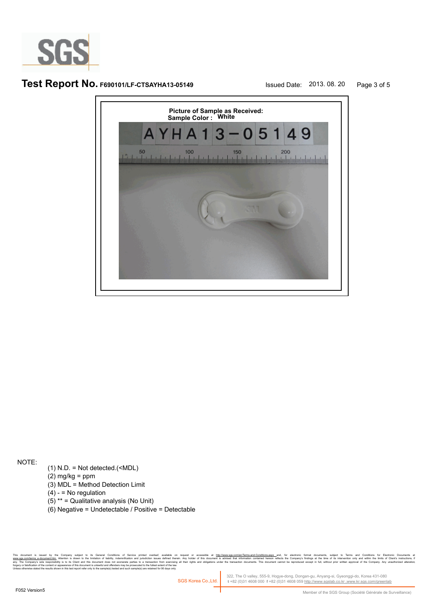

# **Test Report No. F690101/LF-CTSAYHA13-05149** Issued Date: 2013. 08. 20 Page 3 of 5



NOTE:

- (1) N.D. = Not detected.(<MDL)
- $(2)$  mg/kg = ppm
- (3) MDL = Method Detection Limit
- $(4) -$  = No regulation
- (5) \*\* = Qualitative analysis (No Unit)
- (6) Negative = Undetectable / Positive = Detectable

. Company supect to its Geneal Condings of Service primed overlat, any allocated and the method of the information content effects and the expressible at the company season and the expect of this document is advised that i forgery or falsification of the content or appearance of this document is unlawful and offenders may be prosecuted to the fullest extent of the law.<br>Unless otherwise stated the results shown in this test report refer only

322, The O valley, 555-9, Hogye-dong, Dongan-gu, Anyang-si, Gyeonggi-do, Korea 431-080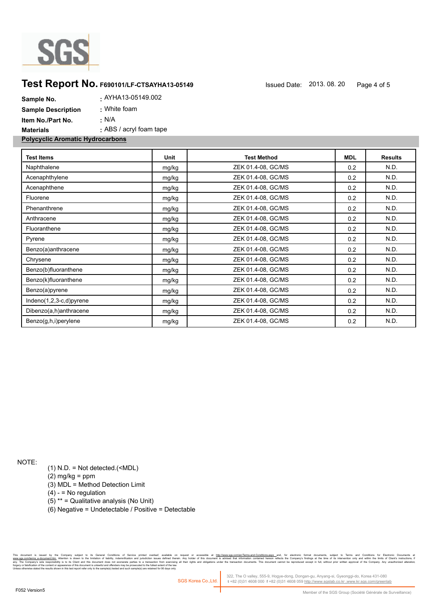

## **Test Report No. F690101/LF-CTSAYHA13-05149** Issued Date: 2013. 08. 20 Page 4 of 5

| Sample No.                              | . AYHA13-05149.002      |
|-----------------------------------------|-------------------------|
| <b>Sample Description</b>               | : White foam            |
| Item No./Part No.                       | : N/A                   |
| <b>Materials</b>                        | : ABS / acryl foam tape |
| <b>Polycyclic Aromatic Hydrocarbons</b> |                         |

| <b>Test Items</b>       | Unit  | <b>Test Method</b> | <b>MDL</b> | <b>Results</b> |
|-------------------------|-------|--------------------|------------|----------------|
| Naphthalene             | mg/kg | ZEK 01.4-08, GC/MS | 0.2        | N.D.           |
| Acenaphthylene          | mg/kg | ZEK 01.4-08, GC/MS | 0.2        | N.D.           |
| Acenaphthene            | mg/kg | ZEK 01.4-08, GC/MS | 0.2        | N.D.           |
| Fluorene                | mg/kg | ZEK 01.4-08, GC/MS | 0.2        | N.D.           |
| Phenanthrene            | mg/kg | ZEK 01.4-08, GC/MS | 0.2        | N.D.           |
| Anthracene              | mg/kg | ZEK 01.4-08, GC/MS | 0.2        | N.D.           |
| Fluoranthene            | mg/kg | ZEK 01.4-08, GC/MS | 0.2        | N.D.           |
| Pyrene                  | mg/kg | ZEK 01.4-08, GC/MS | 0.2        | N.D.           |
| Benzo(a)anthracene      | mg/kg | ZEK 01.4-08, GC/MS | 0.2        | N.D.           |
| Chrysene                | mg/kg | ZEK 01.4-08, GC/MS | 0.2        | N.D.           |
| Benzo(b)fluoranthene    | mg/kg | ZEK 01.4-08, GC/MS | 0.2        | N.D.           |
| Benzo(k)fluoranthene    | mg/kg | ZEK 01.4-08, GC/MS | 0.2        | N.D.           |
| Benzo(a)pyrene          | mg/kg | ZEK 01.4-08, GC/MS | 0.2        | N.D.           |
| Indeno(1,2,3-c,d)pyrene | mg/kg | ZEK 01.4-08, GC/MS | 0.2        | N.D.           |
| Dibenzo(a,h)anthracene  | mg/kg | ZEK 01.4-08, GC/MS | 0.2        | N.D.           |
| Benzo(g,h,i)perylene    | mg/kg | ZEK 01.4-08, GC/MS | 0.2        | N.D.           |
|                         |       |                    |            |                |

NOTE:

(1) N.D. = Not detected.(<MDL)

(2) mg/kg = ppm

(3) MDL = Method Detection Limit

 $(4) -$  = No regulation

(5) \*\* = Qualitative analysis (No Unit)

(6) Negative = Undetectable / Positive = Detectable

the Company subject to its General Conditions of Service printed overleaf, available on request or accessible at h<u>its/inversite, and the restant-fermine and the state of the state of the state of the state of the state of</u> n and jurisdiction issues defined therein.<br>Inties to a transaction from exercising all<br>osecuted to the fullest extent of the law.